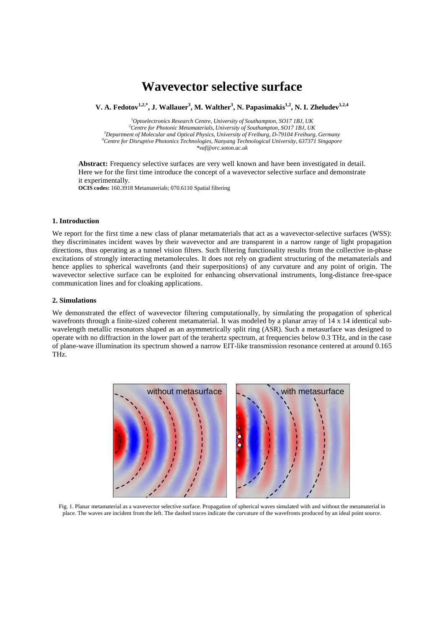# **Wavevector selective surface**

**V. A. Fedotov** $^{1,2,*}$ **, J. Wallauer** $^3$ **, M. Walther** $^3$ **, N. Papasimakis** $^{1,2}$ **, N. I. Zheludev** $^{1,2,4}$ 

 *Optoelectronics Research Centre, University of Southampton, SO17 1BJ, UK Centre for Photonic Metamaterials, University of Southampton, SO17 1BJ, UK Department of Molecular and Optical Physics, University of Freiburg, D-79104 Freiburg, Germany Centre for Disruptive Photonics Technologies, Nanyang Technological University, 637371 Singapore \*vaf@orc.soton.ac.uk*

**Abstract:** Frequency selective surfaces are very well known and have been investigated in detail. Here we for the first time introduce the concept of a wavevector selective surface and demonstrate it experimentally.

**OCIS codes:** 160.3918 Metamaterials; 070.6110 Spatial filtering

### **1. Introduction**

We report for the first time a new class of planar metamaterials that act as a wavevector-selective surfaces (WSS): they discriminates incident waves by their wavevector and are transparent in a narrow range of light propagation directions, thus operating as a tunnel vision filters. Such filtering functionality results from the collective in-phase excitations of strongly interacting metamolecules. It does not rely on gradient structuring of the metamaterials and hence applies to spherical wavefronts (and their superpositions) of any curvature and any point of origin. The wavevector selective surface can be exploited for enhancing observational instruments, long-distance free-space communication lines and for cloaking applications.

#### **2. Simulations**

We demonstrated the effect of wavevector filtering computationally, by simulating the propagation of spherical wavefronts through a finite-sized coherent metamaterial. It was modeled by a planar array of 14 x 14 identical subwavelength metallic resonators shaped as an asymmetrically split ring (ASR). Such a metasurface was designed to operate with no diffraction in the lower part of the terahertz spectrum, at frequencies below 0.3 THz, and in the case of plane-wave illumination its spectrum showed a narrow EIT-like transmission resonance centered at around 0.165 THz.



Fig. 1. Planar metamaterial as a wavevector selective surface. Propagation of spherical waves simulated with and without the metamaterial in place. The waves are incident from the left. The dashed traces indicate the curvature of the wavefronts produced by an ideal point source.